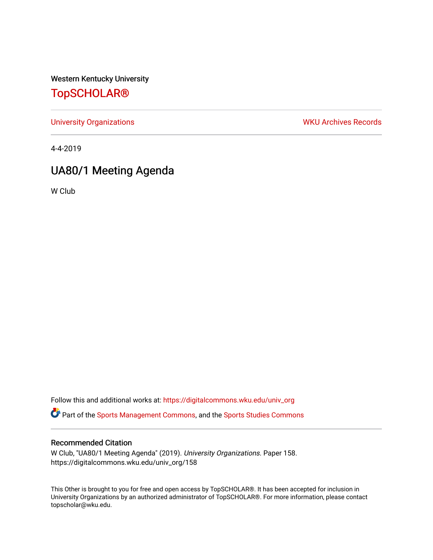Western Kentucky University

## [TopSCHOLAR®](https://digitalcommons.wku.edu/)

[University Organizations](https://digitalcommons.wku.edu/univ_org) **WKU Archives Records** 

4-4-2019

# UA80/1 Meeting Agenda

W Club

Follow this and additional works at: [https://digitalcommons.wku.edu/univ\\_org](https://digitalcommons.wku.edu/univ_org?utm_source=digitalcommons.wku.edu%2Funiv_org%2F158&utm_medium=PDF&utm_campaign=PDFCoverPages) 

**C** Part of the [Sports Management Commons](http://network.bepress.com/hgg/discipline/1193?utm_source=digitalcommons.wku.edu%2Funiv_org%2F158&utm_medium=PDF&utm_campaign=PDFCoverPages), and the [Sports Studies Commons](http://network.bepress.com/hgg/discipline/1198?utm_source=digitalcommons.wku.edu%2Funiv_org%2F158&utm_medium=PDF&utm_campaign=PDFCoverPages)

#### Recommended Citation

W Club, "UA80/1 Meeting Agenda" (2019). University Organizations. Paper 158. https://digitalcommons.wku.edu/univ\_org/158

This Other is brought to you for free and open access by TopSCHOLAR®. It has been accepted for inclusion in University Organizations by an authorized administrator of TopSCHOLAR®. For more information, please contact topscholar@wku.edu.